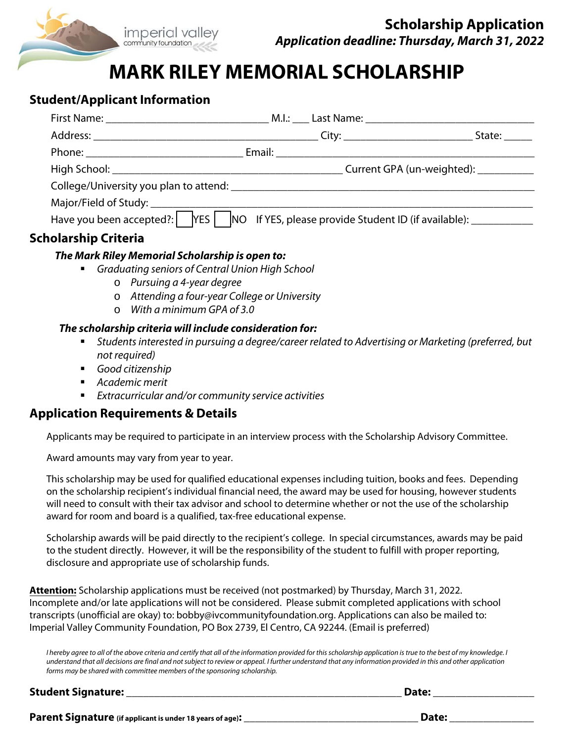

# **MARK RILEY MEMORIAL SCHOLARSHIP**

## **Student/Applicant Information**

|                                                                                                              |                                        |  | State: |
|--------------------------------------------------------------------------------------------------------------|----------------------------------------|--|--------|
|                                                                                                              |                                        |  |        |
|                                                                                                              | Current GPA (un-weighted): ___________ |  |        |
|                                                                                                              |                                        |  |        |
|                                                                                                              |                                        |  |        |
| Have you been accepted?: $\Box$ YES $\Box$ NO If YES, please provide Student ID (if available): ____________ |                                        |  |        |
|                                                                                                              |                                        |  |        |

### **Scholarship Criteria**

#### **The Mark Riley Memorial Scholarship is open to:**

- Graduating seniors of Central Union High School
	- o Pursuing a 4-year degree
	- o Attending a four-year College or University
	- o With a minimum GPA of 3.0

#### **The scholarship criteria will include consideration for:**

- Students interested in pursuing a degree/career related to Advertising or Marketing (preferred, but not required)
- Good citizenship
- Academic merit
- Extracurricular and/or community service activities

## **Application Requirements & Details**

Applicants may be required to participate in an interview process with the Scholarship Advisory Committee.

Award amounts may vary from year to year.

This scholarship may be used for qualified educational expenses including tuition, books and fees. Depending on the scholarship recipient's individual financial need, the award may be used for housing, however students will need to consult with their tax advisor and school to determine whether or not the use of the scholarship award for room and board is a qualified, tax-free educational expense.

Scholarship awards will be paid directly to the recipient's college. In special circumstances, awards may be paid to the student directly. However, it will be the responsibility of the student to fulfill with proper reporting, disclosure and appropriate use of scholarship funds.

**Attention:** Scholarship applications must be received (not postmarked) by Thursday, March 31, 2022. Incomplete and/or late applications will not be considered. Please submit completed applications with school transcripts (unofficial are okay) to: bobby@ivcommunityfoundation.org. Applications can also be mailed to: Imperial Valley Community Foundation, PO Box 2739, El Centro, CA 92244. (Email is preferred)

I hereby agree to all of the above criteria and certify that all of the information provided for this scholarship application is true to the best of my knowledge. I understand that all decisions are final and not subject to review or appeal. I further understand that any information provided in this and other application forms may be shared with committee members of the sponsoring scholarship.

**Student Signature: \_\_\_\_\_\_\_\_\_\_\_\_\_\_\_\_\_\_\_\_\_\_\_\_\_\_\_\_\_\_\_\_\_\_\_\_\_\_\_\_\_\_\_\_\_\_\_\_\_ Date: \_\_\_\_\_\_\_\_\_\_\_\_\_\_\_\_\_\_** 

**Parent Signature (if applicant is under 18 years of age): \_\_\_\_\_\_\_\_\_\_\_\_\_\_\_\_\_\_\_\_\_\_\_\_\_\_\_\_\_\_\_ Date: \_\_\_\_\_\_\_\_\_\_\_\_\_\_\_**